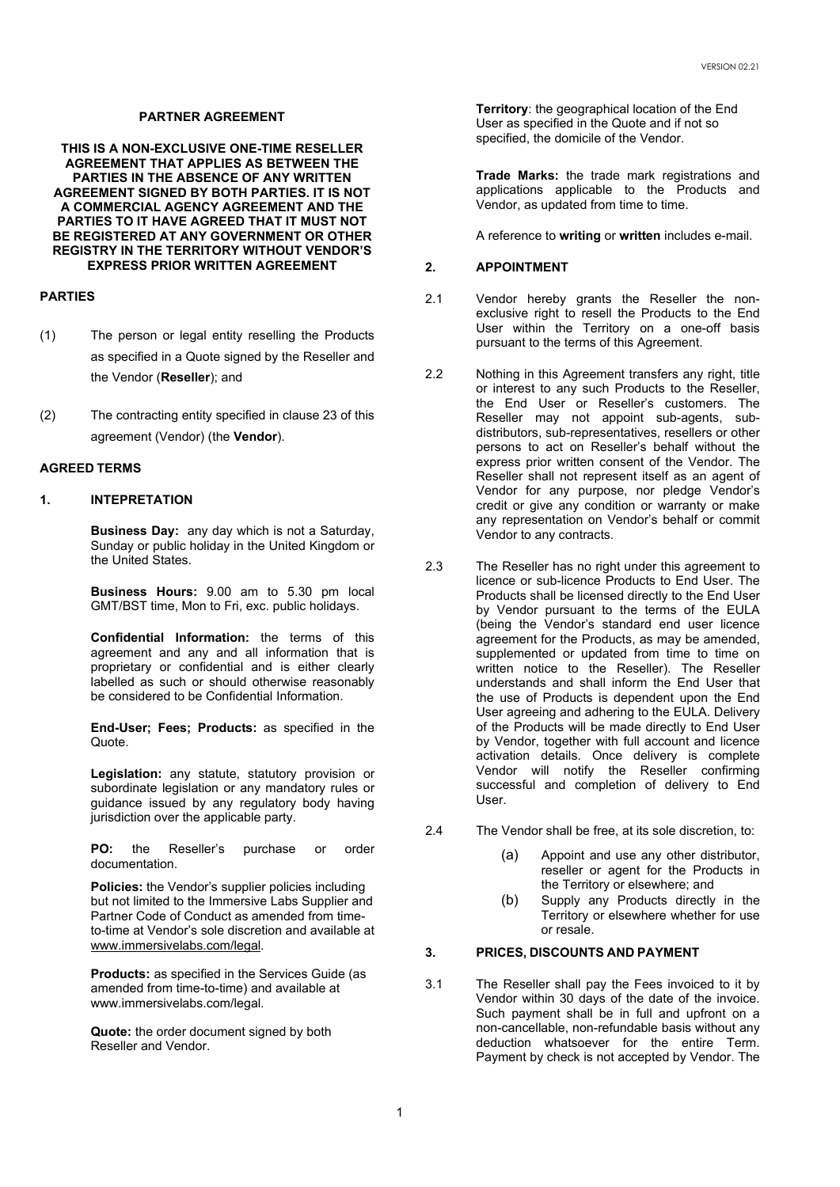# **PARTNER AGREEMENT**

**THIS IS A NON-EXCLUSIVE ONE-TIME RESELLER AGREEMENT THAT APPLIES AS BETWEEN THE PARTIES IN THE ABSENCE OF ANY WRITTEN AGREEMENT SIGNED BY BOTH PARTIES. IT IS NOT A COMMERCIAL AGENCY AGREEMENT AND THE PARTIES TO IT HAVE AGREED THAT IT MUST NOT BE REGISTERED AT ANY GOVERNMENT OR OTHER REGISTRY IN THE TERRITORY WITHOUT VENDOR'S EXPRESS PRIOR WRITTEN AGREEMENT**

#### **PARTIES**

- (1) The person or legal entity reselling the Products as specified in a Quote signed by the Reseller and the Vendor (**Reseller**); and
- (2) The contracting entity specified in clause 23 of this agreement (Vendor) (the **Vendor**).

### **AGREED TERMS**

## **1. INTEPRETATION**

**Business Day:** any day which is not a Saturday, Sunday or public holiday in the United Kingdom or the United States.

**Business Hours:** 9.00 am to 5.30 pm local GMT/BST time, Mon to Fri, exc. public holidays.

**Confidential Information:** the terms of this agreement and any and all information that is proprietary or confidential and is either clearly labelled as such or should otherwise reasonably be considered to be Confidential Information.

**End-User; Fees; Products:** as specified in the Quote.

**Legislation:** any statute, statutory provision or subordinate legislation or any mandatory rules or guidance issued by any regulatory body having jurisdiction over the applicable party.

**PO:** the Reseller's purchase or order documentation.

**Policies:** the Vendor's supplier policies including but not limited to the Immersive Labs Supplier and Partner Code of Conduct as amended from timeto-time at Vendor's sole discretion and available at [www.immersivelabs.com/legal.](http://www.immersivelabs.com/legal)

**Products:** as specified in the Services Guide (as amended from time-to-time) and available at www.immersivelabs.com/legal.

**Quote:** the order document signed by both Reseller and Vendor.

**Territory**: the geographical location of the End User as specified in the Quote and if not so specified, the domicile of the Vendor.

**Trade Marks:** the trade mark registrations and applications applicable to the Products and Vendor, as updated from time to time.

A reference to **writing** or **written** includes e-mail.

# **2. APPOINTMENT**

- 2.1 Vendor hereby grants the Reseller the nonexclusive right to resell the Products to the End User within the Territory on a one-off basis pursuant to the terms of this Agreement.
- 2.2 Nothing in this Agreement transfers any right, title or interest to any such Products to the Reseller, the End User or Reseller's customers. The Reseller may not appoint sub-agents, subdistributors, sub-representatives, resellers or other persons to act on Reseller's behalf without the express prior written consent of the Vendor. The Reseller shall not represent itself as an agent of Vendor for any purpose, nor pledge Vendor's credit or give any condition or warranty or make any representation on Vendor's behalf or commit Vendor to any contracts.
- 2.3 The Reseller has no right under this agreement to licence or sub-licence Products to End User. The Products shall be licensed directly to the End User by Vendor pursuant to the terms of the EULA (being the Vendor's standard end user licence agreement for the Products, as may be amended, supplemented or updated from time to time on written notice to the Reseller). The Reseller understands and shall inform the End User that the use of Products is dependent upon the End User agreeing and adhering to the EULA. Delivery of the Products will be made directly to End User by Vendor, together with full account and licence activation details. Once delivery is complete Vendor will notify the Reseller confirming successful and completion of delivery to End User.
- 2.4 The Vendor shall be free, at its sole discretion, to:
	- (a) Appoint and use any other distributor, reseller or agent for the Products in the Territory or elsewhere; and
	- (b) Supply any Products directly in the Territory or elsewhere whether for use or resale.

# **3. PRICES, DISCOUNTS AND PAYMENT**

3.1 The Reseller shall pay the Fees invoiced to it by Vendor within 30 days of the date of the invoice. Such payment shall be in full and upfront on a non-cancellable, non-refundable basis without any deduction whatsoever for the entire Term. Payment by check is not accepted by Vendor. The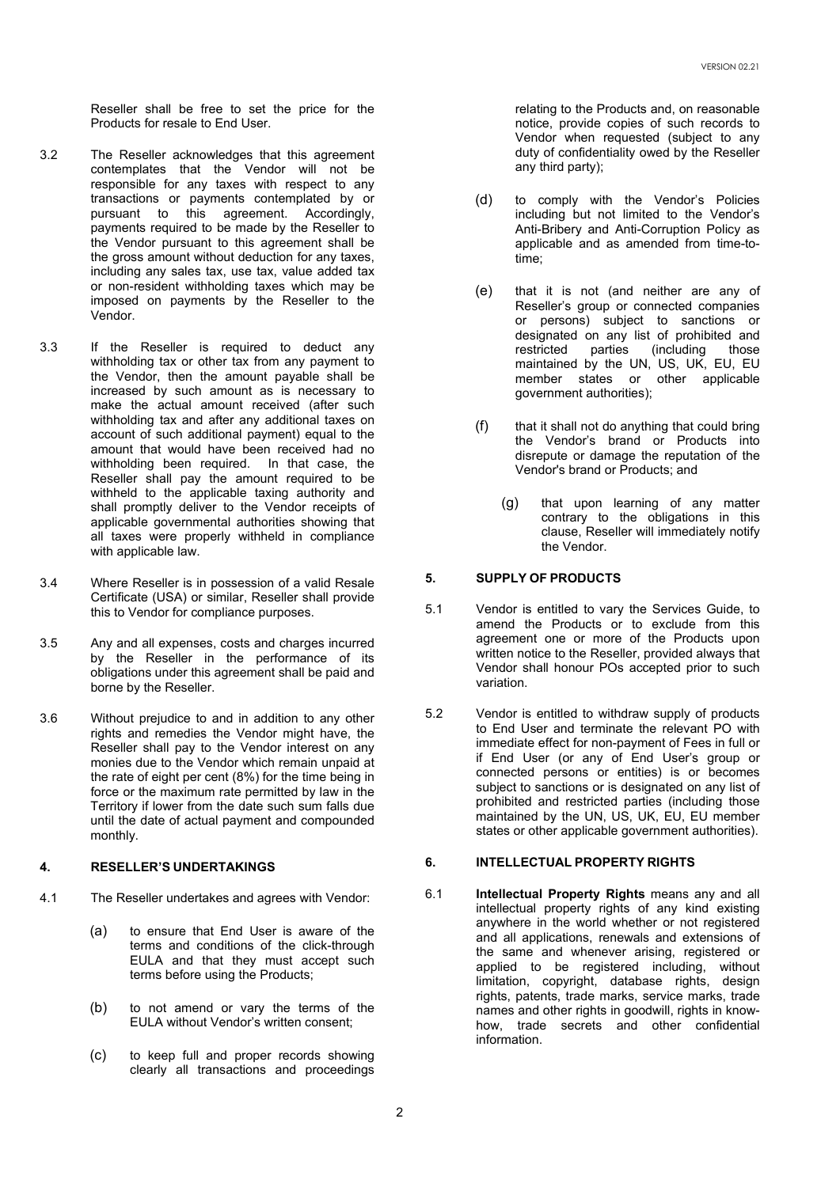Reseller shall be free to set the price for the Products for resale to End User.

- 3.2 The Reseller acknowledges that this agreement contemplates that the Vendor will not be responsible for any taxes with respect to any transactions or payments contemplated by or pursuant to this agreement. Accordingly, payments required to be made by the Reseller to the Vendor pursuant to this agreement shall be the gross amount without deduction for any taxes, including any sales tax, use tax, value added tax or non-resident withholding taxes which may be imposed on payments by the Reseller to the Vendor.
- 3.3 If the Reseller is required to deduct any withholding tax or other tax from any payment to the Vendor, then the amount payable shall be increased by such amount as is necessary to make the actual amount received (after such withholding tax and after any additional taxes on account of such additional payment) equal to the amount that would have been received had no withholding been required. In that case, the Reseller shall pay the amount required to be withheld to the applicable taxing authority and shall promptly deliver to the Vendor receipts of applicable governmental authorities showing that all taxes were properly withheld in compliance with applicable law.
- 3.4 Where Reseller is in possession of a valid Resale Certificate (USA) or similar, Reseller shall provide this to Vendor for compliance purposes.
- 3.5 Any and all expenses, costs and charges incurred by the Reseller in the performance of its obligations under this agreement shall be paid and borne by the Reseller.
- 3.6 Without prejudice to and in addition to any other rights and remedies the Vendor might have, the Reseller shall pay to the Vendor interest on any monies due to the Vendor which remain unpaid at the rate of eight per cent (8%) for the time being in force or the maximum rate permitted by law in the Territory if lower from the date such sum falls due until the date of actual payment and compounded monthly.

#### **4. RESELLER'S UNDERTAKINGS**

- 4.1 The Reseller undertakes and agrees with Vendor:
	- (a) to ensure that End User is aware of the terms and conditions of the click-through EULA and that they must accept such terms before using the Products;
	- (b) to not amend or vary the terms of the EULA without Vendor's written consent;
	- (c) to keep full and proper records showing clearly all transactions and proceedings

relating to the Products and, on reasonable notice, provide copies of such records to Vendor when requested (subject to any duty of confidentiality owed by the Reseller any third party);

- (d) to comply with the Vendor's Policies including but not limited to the Vendor's Anti-Bribery and Anti-Corruption Policy as applicable and as amended from time-totime;
- (e) that it is not (and neither are any of Reseller's group or connected companies or persons) subject to sanctions or designated on any list of prohibited and<br>restricted parties (including those restricted parties (including those maintained by the UN, US, UK, EU, EU member states or other applicable government authorities);
- $(f)$  that it shall not do anything that could bring the Vendor's brand or Products into disrepute or damage the reputation of the Vendor's brand or Products; and
	- (g) that upon learning of any matter contrary to the obligations in this clause, Reseller will immediately notify the Vendor.

# **5. SUPPLY OF PRODUCTS**

- 5.1 Vendor is entitled to vary the Services Guide, to amend the Products or to exclude from this agreement one or more of the Products upon written notice to the Reseller, provided always that Vendor shall honour POs accepted prior to such variation.
- 5.2 Vendor is entitled to withdraw supply of products to End User and terminate the relevant PO with immediate effect for non-payment of Fees in full or if End User (or any of End User's group or connected persons or entities) is or becomes subject to sanctions or is designated on any list of prohibited and restricted parties (including those maintained by the UN, US, UK, EU, EU member states or other applicable government authorities).

### **6. INTELLECTUAL PROPERTY RIGHTS**

6.1 **Intellectual Property Rights** means any and all intellectual property rights of any kind existing anywhere in the world whether or not registered and all applications, renewals and extensions of the same and whenever arising, registered or applied to be registered including, without limitation, copyright, database rights, design rights, patents, trade marks, service marks, trade names and other rights in goodwill, rights in knowhow, trade secrets and other confidential information.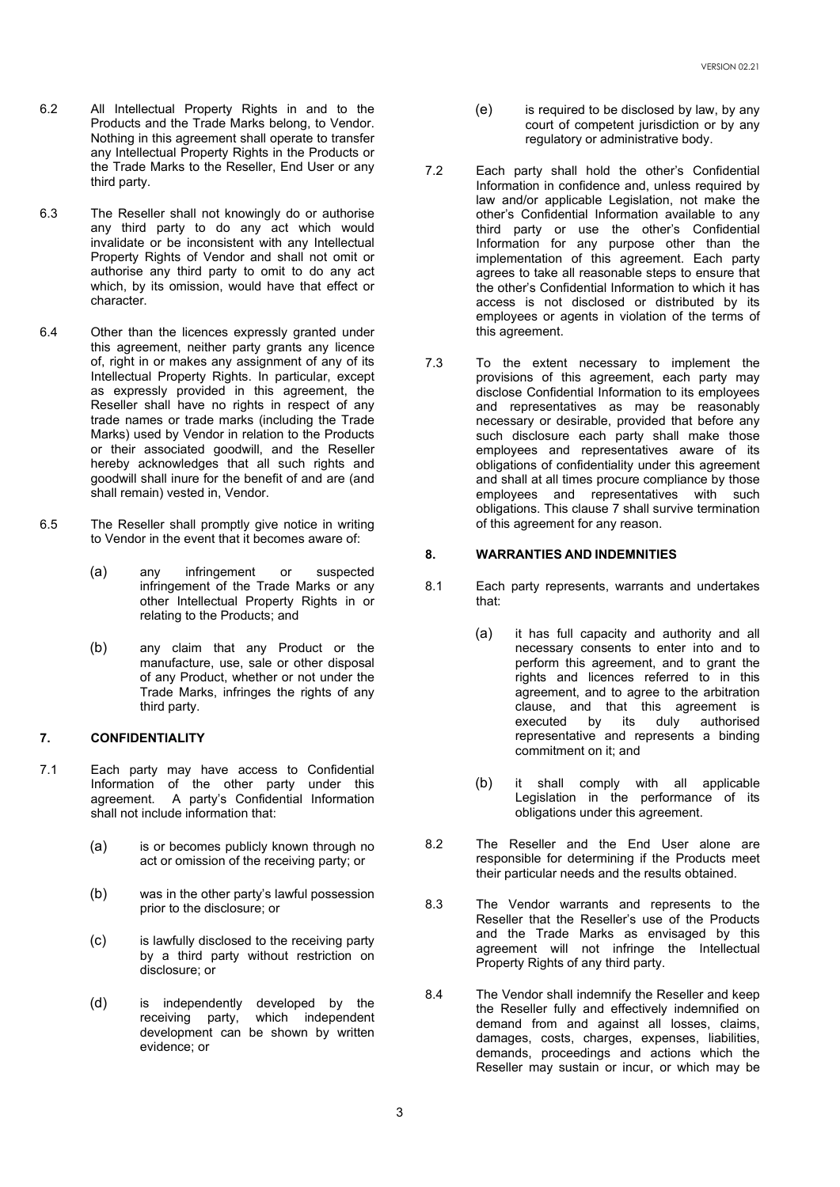- 6.2 All Intellectual Property Rights in and to the Products and the Trade Marks belong, to Vendor. Nothing in this agreement shall operate to transfer any Intellectual Property Rights in the Products or the Trade Marks to the Reseller, End User or any third party.
- 6.3 The Reseller shall not knowingly do or authorise any third party to do any act which would invalidate or be inconsistent with any Intellectual Property Rights of Vendor and shall not omit or authorise any third party to omit to do any act which, by its omission, would have that effect or character.
- 6.4 Other than the licences expressly granted under this agreement, neither party grants any licence of, right in or makes any assignment of any of its Intellectual Property Rights. In particular, except as expressly provided in this agreement, the Reseller shall have no rights in respect of any trade names or trade marks (including the Trade Marks) used by Vendor in relation to the Products or their associated goodwill, and the Reseller hereby acknowledges that all such rights and goodwill shall inure for the benefit of and are (and shall remain) vested in, Vendor.
- 6.5 The Reseller shall promptly give notice in writing to Vendor in the event that it becomes aware of:
	- (a) any infringement or suspected infringement of the Trade Marks or any other Intellectual Property Rights in or relating to the Products; and
	- (b) any claim that any Product or the manufacture, use, sale or other disposal of any Product, whether or not under the Trade Marks, infringes the rights of any third party.

### **7. CONFIDENTIALITY**

- 7.1 Each party may have access to Confidential Information of the other party under this agreement. A party's Confidential Information shall not include information that:
	- (a) is or becomes publicly known through no act or omission of the receiving party; or
	- (b) was in the other party's lawful possession prior to the disclosure; or
	- (c) is lawfully disclosed to the receiving party by a third party without restriction on disclosure; or
	- (d) is independently developed by the<br>receiving party, which independent which independent development can be shown by written evidence; or
- (e) is required to be disclosed by law, by any court of competent jurisdiction or by any regulatory or administrative body.
- 7.2 Each party shall hold the other's Confidential Information in confidence and, unless required by law and/or applicable Legislation, not make the other's Confidential Information available to any third party or use the other's Confidential Information for any purpose other than the implementation of this agreement. Each party agrees to take all reasonable steps to ensure that the other's Confidential Information to which it has access is not disclosed or distributed by its employees or agents in violation of the terms of this agreement.
- 7.3 To the extent necessary to implement the provisions of this agreement, each party may disclose Confidential Information to its employees and representatives as may be reasonably necessary or desirable, provided that before any such disclosure each party shall make those employees and representatives aware of its obligations of confidentiality under this agreement and shall at all times procure compliance by those employees and representatives with such obligations. This clause 7 shall survive termination of this agreement for any reason.

## **8. WARRANTIES AND INDEMNITIES**

- 8.1 Each party represents, warrants and undertakes that:
	- (a) it has full capacity and authority and all necessary consents to enter into and to perform this agreement, and to grant the rights and licences referred to in this agreement, and to agree to the arbitration clause, and that this agreement is its duly representative and represents a binding commitment on it; and
	- (b) it shall comply with all applicable Legislation in the performance of its obligations under this agreement.
- 8.2 The Reseller and the End User alone are responsible for determining if the Products meet their particular needs and the results obtained.
- 8.3 The Vendor warrants and represents to the Reseller that the Reseller's use of the Products and the Trade Marks as envisaged by this agreement will not infringe the Intellectual Property Rights of any third party.
- 8.4 The Vendor shall indemnify the Reseller and keep the Reseller fully and effectively indemnified on demand from and against all losses, claims, damages, costs, charges, expenses, liabilities, demands, proceedings and actions which the Reseller may sustain or incur, or which may be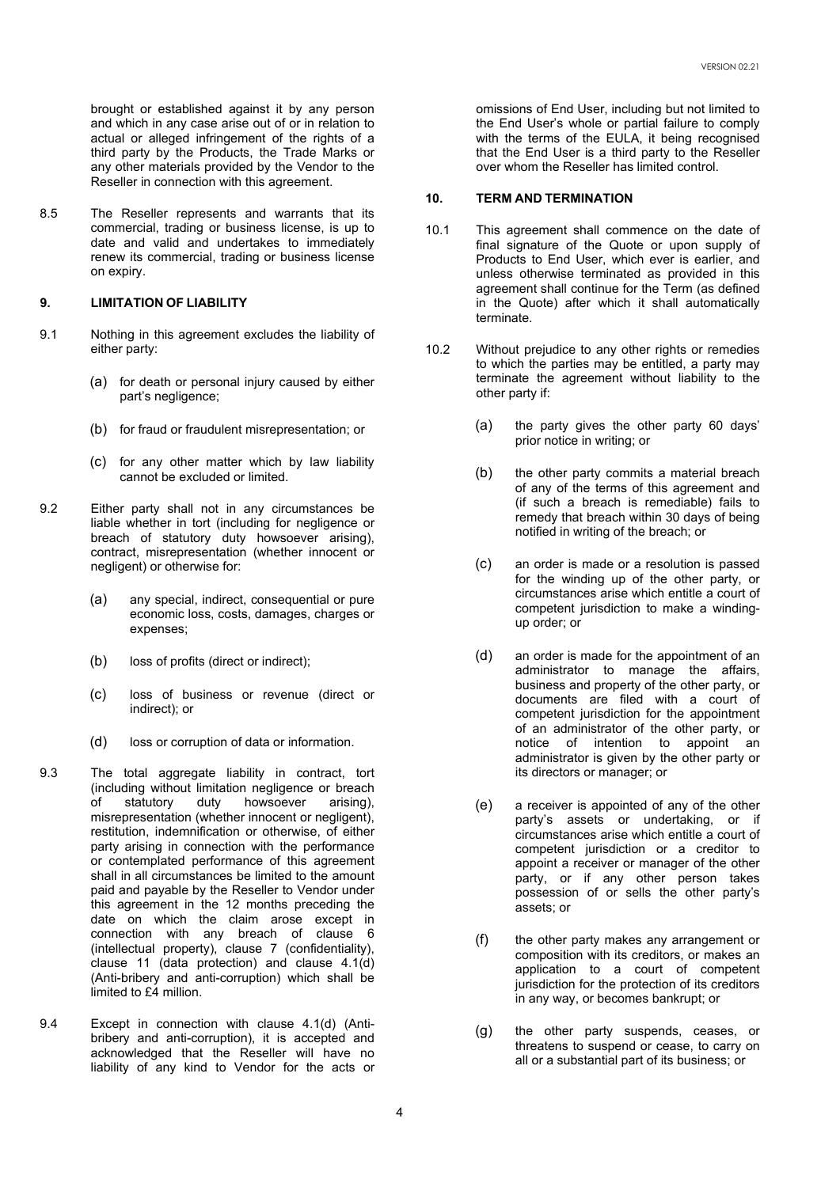brought or established against it by any person and which in any case arise out of or in relation to actual or alleged infringement of the rights of a third party by the Products, the Trade Marks or any other materials provided by the Vendor to the Reseller in connection with this agreement.

8.5 The Reseller represents and warrants that its commercial, trading or business license, is up to date and valid and undertakes to immediately renew its commercial, trading or business license on expiry.

# **9. LIMITATION OF LIABILITY**

- 9.1 Nothing in this agreement excludes the liability of either party:
	- (a) for death or personal injury caused by either part's negligence;
	- (b) for fraud or fraudulent misrepresentation; or
	- (c) for any other matter which by law liability cannot be excluded or limited.
- 9.2 Either party shall not in any circumstances be liable whether in tort (including for negligence or breach of statutory duty howsoever arising), contract, misrepresentation (whether innocent or negligent) or otherwise for:
	- (a) any special, indirect, consequential or pure economic loss, costs, damages, charges or expenses;
	- (b) loss of profits (direct or indirect);
	- (c) loss of business or revenue (direct or indirect); or
	- (d) loss or corruption of data or information.
- 9.3 The total aggregate liability in contract, tort (including without limitation negligence or breach<br>of statutory duty howsoever arising), of statutory duty howsoever arising), misrepresentation (whether innocent or negligent), restitution, indemnification or otherwise, of either party arising in connection with the performance or contemplated performance of this agreement shall in all circumstances be limited to the amount paid and payable by the Reseller to Vendor under this agreement in the 12 months preceding the date on which the claim arose except in connection with any breach of clause 6 (intellectual property), clause 7 (confidentiality), clause 11 (data protection) and clause 4.1(d) (Anti-bribery and anti-corruption) which shall be limited to £4 million.
- 9.4 Except in connection with clause 4.1(d) (Antibribery and anti-corruption), it is accepted and acknowledged that the Reseller will have no liability of any kind to Vendor for the acts or

omissions of End User, including but not limited to the End User's whole or partial failure to comply with the terms of the EULA, it being recognised that the End User is a third party to the Reseller over whom the Reseller has limited control.

#### **10. TERM AND TERMINATION**

- 10.1 This agreement shall commence on the date of final signature of the Quote or upon supply of Products to End User, which ever is earlier, and unless otherwise terminated as provided in this agreement shall continue for the Term (as defined in the Quote) after which it shall automatically terminate.
- 10.2 Without prejudice to any other rights or remedies to which the parties may be entitled, a party may terminate the agreement without liability to the other party if:
	- (a) the party gives the other party 60 days' prior notice in writing; or
	- (b) the other party commits a material breach of any of the terms of this agreement and (if such a breach is remediable) fails to remedy that breach within 30 days of being notified in writing of the breach; or
	- (c) an order is made or a resolution is passed for the winding up of the other party, or circumstances arise which entitle a court of competent jurisdiction to make a windingup order; or
	- (d) an order is made for the appointment of an administrator to manage the affairs, business and property of the other party, or documents are filed with a court of competent jurisdiction for the appointment of an administrator of the other party, or notice of intention to appoint an administrator is given by the other party or its directors or manager; or
	- (e) a receiver is appointed of any of the other party's assets or undertaking, or if circumstances arise which entitle a court of competent jurisdiction or a creditor to appoint a receiver or manager of the other party, or if any other person takes possession of or sells the other party's assets; or
	- (f) the other party makes any arrangement or composition with its creditors, or makes an application to a court of competent jurisdiction for the protection of its creditors in any way, or becomes bankrupt; or
	- (g) the other party suspends, ceases, or threatens to suspend or cease, to carry on all or a substantial part of its business; or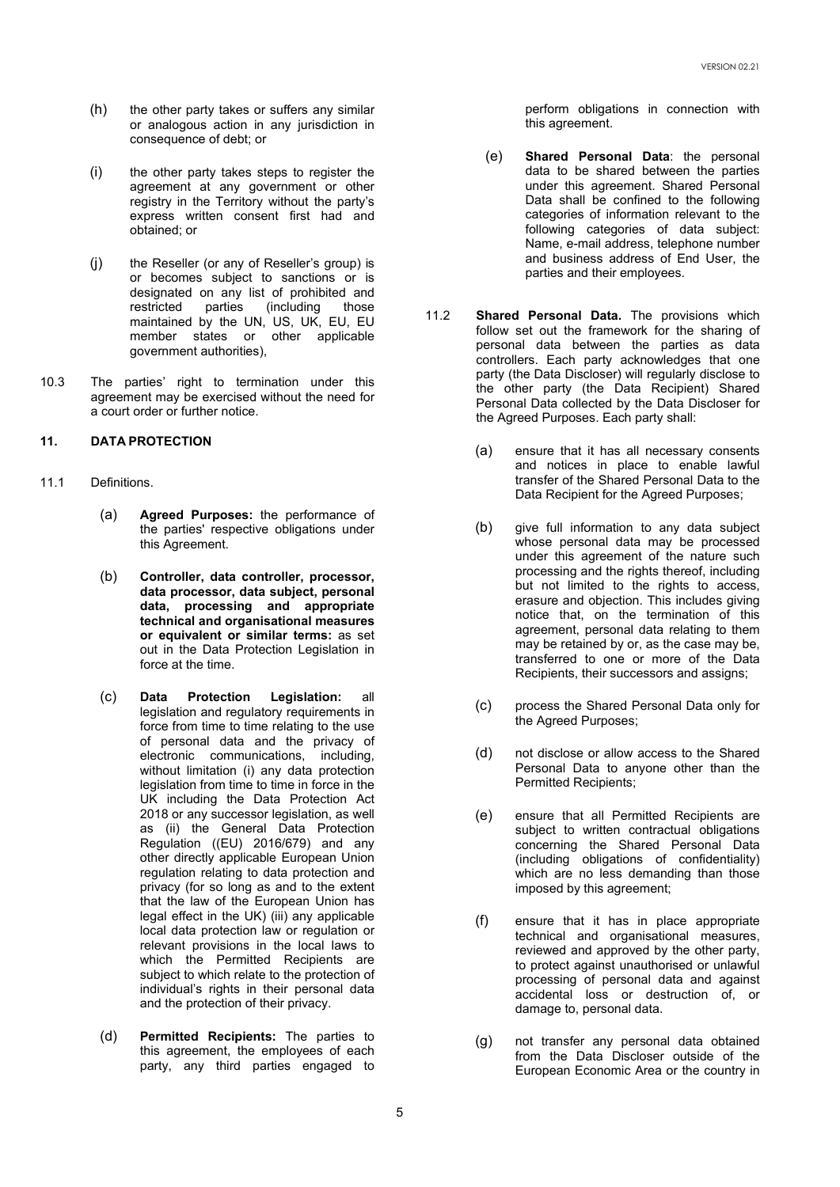- (h) the other party takes or suffers any similar or analogous action in any jurisdiction in consequence of debt; or
- (i) the other party takes steps to register the agreement at any government or other registry in the Territory without the party's express written consent first had and obtained; or
- (j) the Reseller (or any of Reseller's group) is or becomes subject to sanctions or is designated on any list of prohibited and<br>restricted parties (including those restricted parties (including those maintained by the UN, US, UK, EU, EU member states or other applicable government authorities),
- 10.3 The parties' right to termination under this agreement may be exercised without the need for a court order or further notice.

# **11. DATA PROTECTION**

- 11.1 Definitions.
	- (a) **Agreed Purposes:** the performance of the parties' respective obligations under this Agreement.
	- (b) **Controller, data controller, processor, data processor, data subject, personal data, processing and appropriate technical and organisational measures or equivalent or similar terms:** as set out in the Data Protection Legislation in force at the time.
	- (c) **Data Protection Legislation:** all legislation and regulatory requirements in force from time to time relating to the use of personal data and the privacy of electronic communications, including, without limitation (i) any data protection legislation from time to time in force in the UK including the Data Protection Act 2018 or any successor legislation, as well as (ii) the General Data Protection Regulation ((EU) 2016/679) and any other directly applicable European Union regulation relating to data protection and privacy (for so long as and to the extent that the law of the European Union has legal effect in the UK) (iii) any applicable local data protection law or regulation or relevant provisions in the local laws to which the Permitted Recipients are subject to which relate to the protection of individual's rights in their personal data and the protection of their privacy.
	- (d) **Permitted Recipients:** The parties to this agreement, the employees of each party, any third parties engaged to

perform obligations in connection with this agreement.

- (e) **Shared Personal Data**: the personal data to be shared between the parties under this agreement. Shared Personal Data shall be confined to the following categories of information relevant to the following categories of data subject: Name, e-mail address, telephone number and business address of End User, the parties and their employees.
- 11.2 **Shared Personal Data.** The provisions which follow set out the framework for the sharing of personal data between the parties as data controllers. Each party acknowledges that one party (the Data Discloser) will regularly disclose to the other party (the Data Recipient) Shared Personal Data collected by the Data Discloser for the Agreed Purposes. Each party shall:
	- (a) ensure that it has all necessary consents and notices in place to enable lawful transfer of the Shared Personal Data to the Data Recipient for the Agreed Purposes;
	- (b) give full information to any data subject whose personal data may be processed under this agreement of the nature such processing and the rights thereof, including but not limited to the rights to access, erasure and objection. This includes giving notice that, on the termination of this agreement, personal data relating to them may be retained by or, as the case may be, transferred to one or more of the Data Recipients, their successors and assigns;
	- (c) process the Shared Personal Data only for the Agreed Purposes;
	- (d) not disclose or allow access to the Shared Personal Data to anyone other than the Permitted Recipients;
	- (e) ensure that all Permitted Recipients are subject to written contractual obligations concerning the Shared Personal Data (including obligations of confidentiality) which are no less demanding than those imposed by this agreement;
	- (f) ensure that it has in place appropriate technical and organisational measures, reviewed and approved by the other party, to protect against unauthorised or unlawful processing of personal data and against accidental loss or destruction of, or damage to, personal data.
	- (g) not transfer any personal data obtained from the Data Discloser outside of the European Economic Area or the country in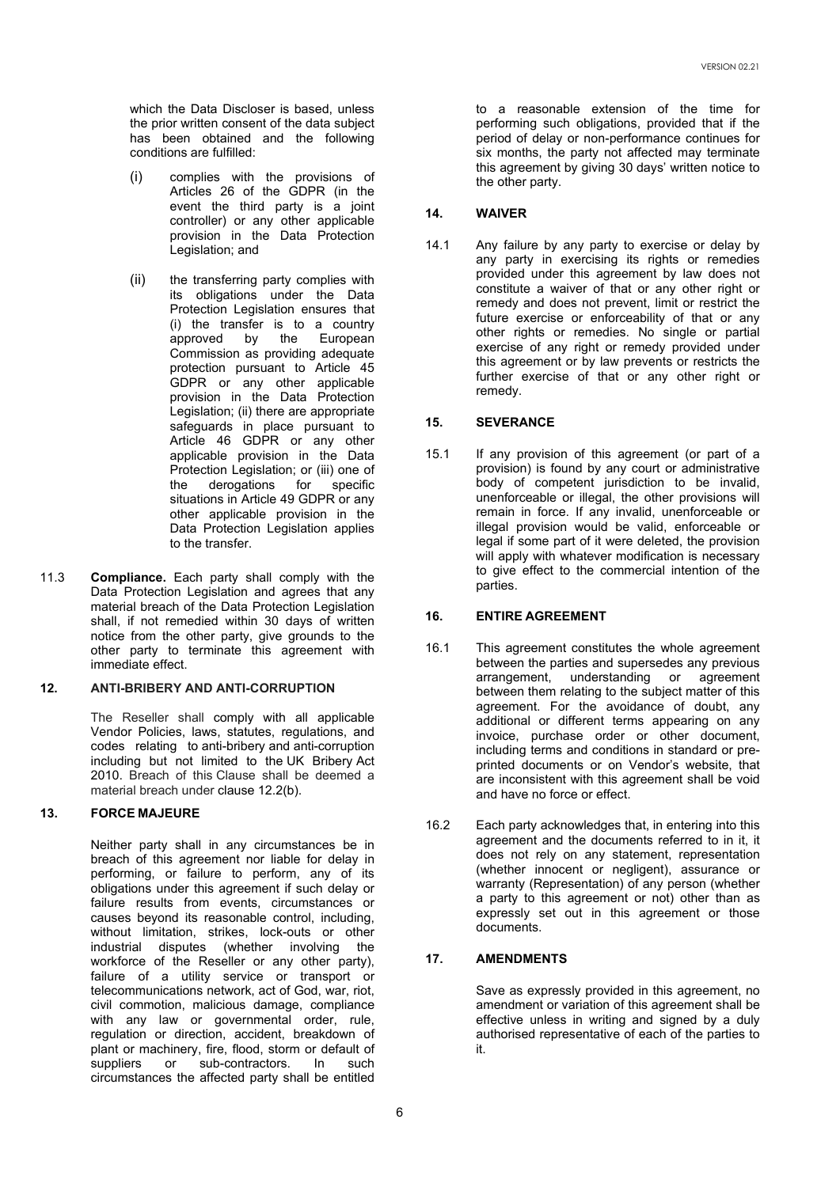which the Data Discloser is based, unless the prior written consent of the data subject has been obtained and the following conditions are fulfilled:

- (i) complies with the provisions of Articles 26 of the GDPR (in the event the third party is a joint controller) or any other applicable provision in the Data Protection Legislation; and
- (ii) the transferring party complies with its obligations under the Data Protection Legislation ensures that (i) the transfer is to a country<br>approved by the European approved Commission as providing adequate protection pursuant to Article 45 GDPR or any other applicable provision in the Data Protection Legislation; (ii) there are appropriate safeguards in place pursuant to Article 46 GDPR or any other applicable provision in the Data Protection Legislation; or (iii) one of<br>the derogations for specific derogations situations in Article 49 GDPR or any other applicable provision in the Data Protection Legislation applies to the transfer.
- 11.3 **Compliance.** Each party shall comply with the Data Protection Legislation and agrees that any material breach of the Data Protection Legislation shall, if not remedied within 30 days of written notice from the other party, give grounds to the other party to terminate this agreement with immediate effect.

# **12. ANTI-BRIBERY AND ANTI-CORRUPTION**

The Reseller shall comply with all applicable Vendor Policies, laws, statutes, regulations, and codes relating to anti-bribery and anti-corruption including but not limited to the UK Bribery Act 2010. Breach of this [Clause s](https://uk.practicallaw.thomsonreuters.com/Document/I43e1a90b1c9a11e38578f7ccc38dcbee/View/FullText.html?navigationPath=Search%2Fv1%2Fresults%2Fnavigation%2Fi0ad740110000016ea7ca5f17419182ae%3FNav%3DKNOWHOW_UK%26fragmentIdentifier%3DI43e1a90b1c9a11e38578f7ccc38dcbee%26parentRank%3D0%26startIndex%3D1%26contextData%3D%2528sc.Search%2529%26transitionType%3DSearchItem&listSource=Search&listPageSource=32d7121bc52326d66f168ac7530e812c&list=KNOWHOW_UK&rank=1&sessionScopeId=6a2b5afe0b27d8ebeda9450e771316d1df6943f49645ee4eac6dd07743a9cc53&originationContext=Search%20Result&transitionType=SearchItem&contextData=(sc.Search)&navId=698F5969F8A295BA812E2E3CB1D72D83&comp=pluk&view=hidealldraftingnotes#co_anchor_a644855)hall be deemed a material breach under clause 12.2(b).

# **13. FORCE MAJEURE**

Neither party shall in any circumstances be in breach of this agreement nor liable for delay in performing, or failure to perform, any of its obligations under this agreement if such delay or failure results from events, circumstances or causes beyond its reasonable control, including, without limitation, strikes, lock-outs or other industrial disputes (whether involving the workforce of the Reseller or any other party), failure of a utility service or transport or telecommunications network, act of God, war, riot, civil commotion, malicious damage, compliance with any law or governmental order, rule, regulation or direction, accident, breakdown of plant or machinery, fire, flood, storm or default of suppliers or sub-contractors. In such circumstances the affected party shall be entitled to a reasonable extension of the time for performing such obligations, provided that if the period of delay or non-performance continues for six months, the party not affected may terminate this agreement by giving 30 days' written notice to the other party.

# **14. WAIVER**

14.1 Any failure by any party to exercise or delay by any party in exercising its rights or remedies provided under this agreement by law does not constitute a waiver of that or any other right or remedy and does not prevent, limit or restrict the future exercise or enforceability of that or any other rights or remedies. No single or partial exercise of any right or remedy provided under this agreement or by law prevents or restricts the further exercise of that or any other right or remedy.

## **15. SEVERANCE**

15.1 If any provision of this agreement (or part of a provision) is found by any court or administrative body of competent jurisdiction to be invalid, unenforceable or illegal, the other provisions will remain in force. If any invalid, unenforceable or illegal provision would be valid, enforceable or legal if some part of it were deleted, the provision will apply with whatever modification is necessary to give effect to the commercial intention of the parties.

### **16. ENTIRE AGREEMENT**

- 16.1 This agreement constitutes the whole agreement between the parties and supersedes any previous arrangement, understanding or agreement between them relating to the subject matter of this agreement. For the avoidance of doubt, any additional or different terms appearing on any invoice, purchase order or other document, including terms and conditions in standard or preprinted documents or on Vendor's website, that are inconsistent with this agreement shall be void and have no force or effect.
- 16.2 Each party acknowledges that, in entering into this agreement and the documents referred to in it, it does not rely on any statement, representation (whether innocent or negligent), assurance or warranty (Representation) of any person (whether a party to this agreement or not) other than as expressly set out in this agreement or those documents.

# **17. AMENDMENTS**

Save as expressly provided in this agreement, no amendment or variation of this agreement shall be effective unless in writing and signed by a duly authorised representative of each of the parties to it.